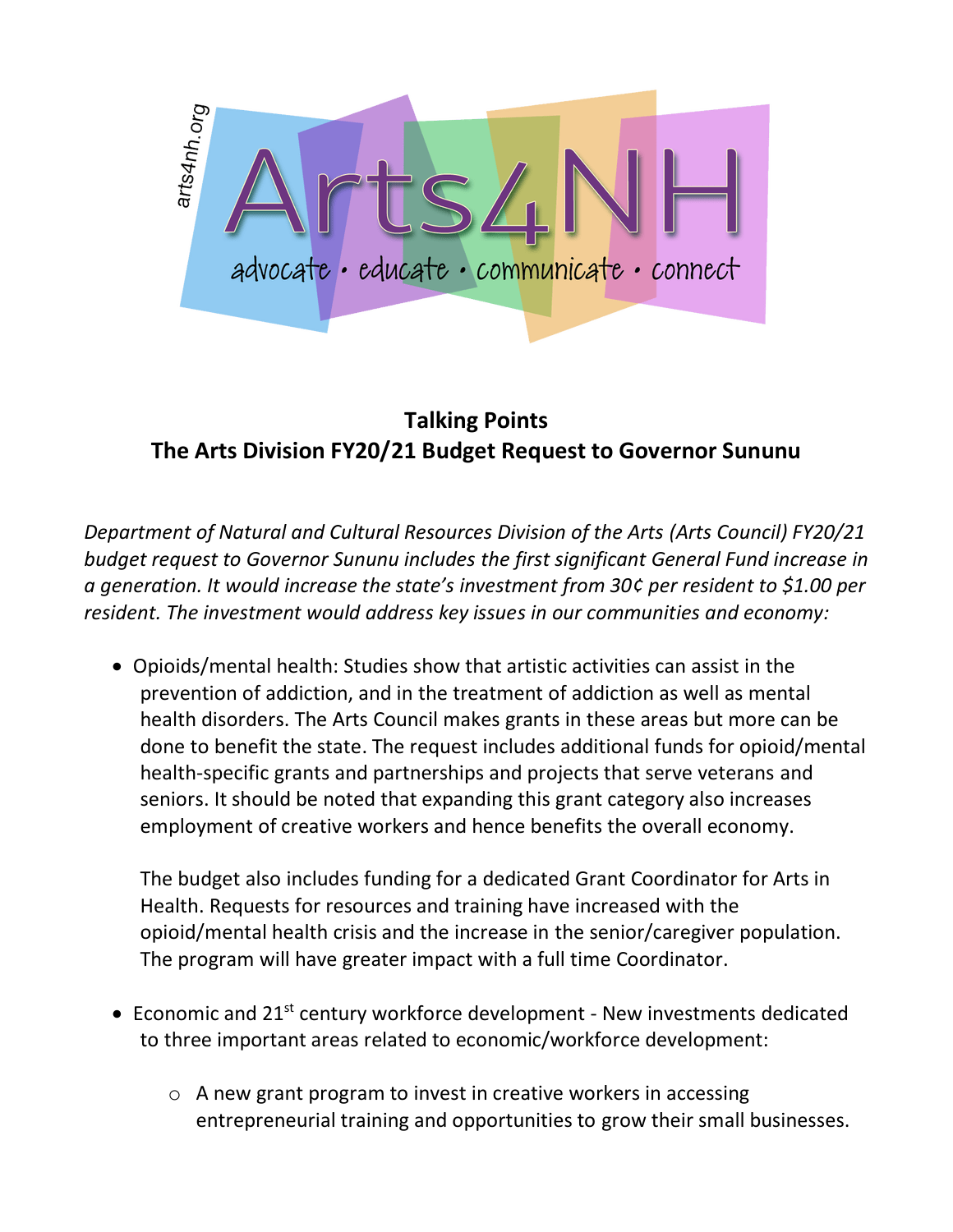

## **Talking Points The Arts Division FY20/21 Budget Request to Governor Sununu**

*Department of Natural and Cultural Resources Division of the Arts (Arts Council) FY20/21 budget request to Governor Sununu includes the first significant General Fund increase in a generation. It would increase the state's investment from 30¢ per resident to \$1.00 per resident. The investment would address key issues in our communities and economy:*

• Opioids/mental health: Studies show that artistic activities can assist in the prevention of addiction, and in the treatment of addiction as well as mental health disorders. The Arts Council makes grants in these areas but more can be done to benefit the state. The request includes additional funds for opioid/mental health-specific grants and partnerships and projects that serve veterans and seniors. It should be noted that expanding this grant category also increases employment of creative workers and hence benefits the overall economy.

The budget also includes funding for a dedicated Grant Coordinator for Arts in Health. Requests for resources and training have increased with the opioid/mental health crisis and the increase in the senior/caregiver population. The program will have greater impact with a full time Coordinator.

- Economic and  $21^{st}$  century workforce development New investments dedicated to three important areas related to economic/workforce development:
	- o A new grant program to invest in creative workers in accessing entrepreneurial training and opportunities to grow their small businesses.